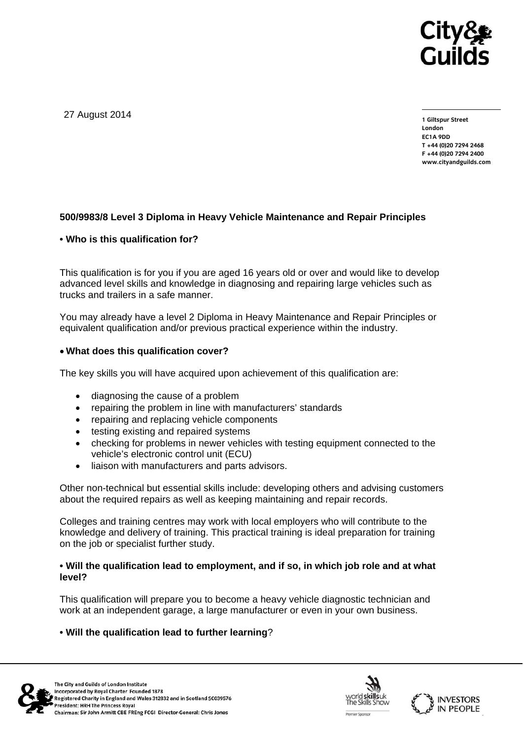

27 August 2014

**1 Giltspur Street London EC1A 9DD T +44 (0)20 7294 2468 F +44 (0)20 7294 2400 www.cityandguilds.com** 

## **500/9983/8 Level 3 Diploma in Heavy Vehicle Maintenance and Repair Principles**

### **• Who is this qualification for?**

This qualification is for you if you are aged 16 years old or over and would like to develop advanced level skills and knowledge in diagnosing and repairing large vehicles such as trucks and trailers in a safe manner.

You may already have a level 2 Diploma in Heavy Maintenance and Repair Principles or equivalent qualification and/or previous practical experience within the industry.

### **What does this qualification cover?**

The key skills you will have acquired upon achievement of this qualification are:

- diagnosing the cause of a problem
- repairing the problem in line with manufacturers' standards
- repairing and replacing vehicle components
- testing existing and repaired systems
- checking for problems in newer vehicles with testing equipment connected to the vehicle's electronic control unit (ECU)
- liaison with manufacturers and parts advisors.

Other non-technical but essential skills include: developing others and advising customers about the required repairs as well as keeping maintaining and repair records.

Colleges and training centres may work with local employers who will contribute to the knowledge and delivery of training. This practical training is ideal preparation for training on the job or specialist further study.

### **• Will the qualification lead to employment, and if so, in which job role and at what level?**

This qualification will prepare you to become a heavy vehicle diagnostic technician and work at an independent garage, a large manufacturer or even in your own business.

## **• Will the qualification lead to further learning**?